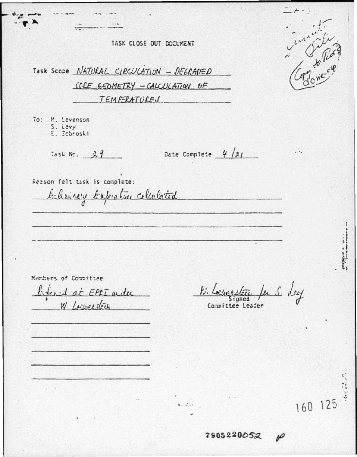TASK CLOSE OUT DOCUMENT

Task Scope NATURAL CIRCULATION - DEGRADED LELE GEDMETRY - CALCULATION OF TEMPERATURES To: M. Levenson S. Levy E. Zebroski Date Complete  $4/9/$ Task No.  $29$ Reason felt task is complete: believery texpecture collabored

Members of Committee

behad at EPLI with W. Lowerstein

a fer S. Ley

Committee Leader

160 125

 $\boldsymbol{\varphi}$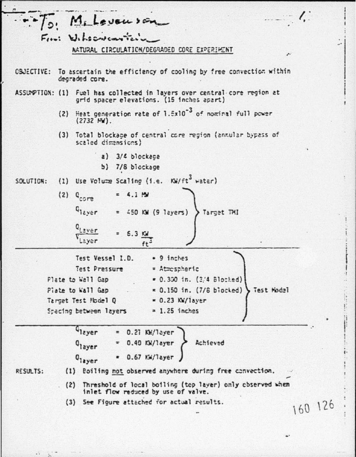|           |                  | To Milevanson                                                                                                                                                                                                                                                                  |             |  |
|-----------|------------------|--------------------------------------------------------------------------------------------------------------------------------------------------------------------------------------------------------------------------------------------------------------------------------|-------------|--|
|           |                  | Fini Wilsonscartein<br>RATURAL CIRCULATION/DEGRADED CORE EXPERIMENT                                                                                                                                                                                                            | $\mu^{\mu}$ |  |
|           |                  | OBJECTIVE: To ascertain the efficiency of cooling by free convection within<br>degraded core.                                                                                                                                                                                  |             |  |
|           |                  | ASSUNPTION: (1) Fuel has collected in layers over central core region at<br>grid spacer elevations. (15 inches apart)                                                                                                                                                          |             |  |
|           |                  | (2) Heat generation rate of 1.5x10 <sup>-3</sup> of nominal full power<br>(2732 M).                                                                                                                                                                                            |             |  |
|           |                  | (3) Total blockage of central core region (annular bypass of<br>scaled dimensions)                                                                                                                                                                                             |             |  |
|           |                  | a) $3/4$ blockage<br>b) 7/8 blockage                                                                                                                                                                                                                                           |             |  |
| SOLUTION: |                  | (1) Use Volume Scaling (i.e. KW/ft <sup>3</sup> water)                                                                                                                                                                                                                         |             |  |
|           | $(2)$ $q_{core}$ | $= 4.1 M$                                                                                                                                                                                                                                                                      |             |  |
|           |                  | $Q_{1eyer}$<br>= $450$ KW (9 layers) > Target TMI                                                                                                                                                                                                                              |             |  |
|           |                  | Laver<br>$6.3 \frac{rd}{ft^3}$<br>Layer                                                                                                                                                                                                                                        |             |  |
|           |                  | Test Vessel 1.D.<br>= 9 inches<br>Test Pressure<br>= Atrespheric<br>$= 0.300$ in. (3/4 Blocked)<br>Plate to Wall Gap<br>$= 0.150$ in. (7/8 biocked) } Test Model<br>Piate to Wall Gap<br>Target Test Model Q<br>$= 0.23$ KW/layer<br>$= 1.25$ inches<br>Specing between layers |             |  |
|           |                  | G <sub>layer</sub><br>0.21 NH/layer<br>Achieved<br>0.40 K/layer<br><sup>Q</sup> layer<br>0.67 KW/Tayer<br>0 <sub>layer</sub>                                                                                                                                                   |             |  |
| RESULTS:  | (1)              | Boiling not observed anywhere during free convection.                                                                                                                                                                                                                          |             |  |
|           |                  | (2) Threshold of local boiling (top layer) only observed when<br>inlet flow reduced by use of valve.                                                                                                                                                                           |             |  |
|           |                  | (3) See Figure attached for actual results.                                                                                                                                                                                                                                    | 160 126     |  |
|           |                  |                                                                                                                                                                                                                                                                                |             |  |
|           |                  |                                                                                                                                                                                                                                                                                |             |  |

ł

 $\frac{1}{1}$ 

ŝ,

 $\ddot{\phantom{a}}$ 

I

 $\ddot{\phantom{a}}$ 

 $\cdots$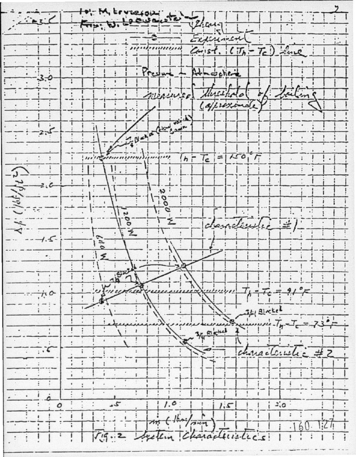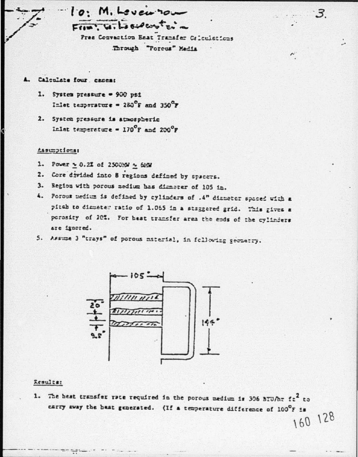$10$ . M. Levenron  $F(x, y, \lambda)$ 

Pree Convection Eest Transfer Calculations Through "Forcus" Media

 $\cdot$  3

- Calculate four, caseas **A.** 
	- 1. System pressure = 900 psi Inlet tesperature = 280°F and 350°F
	- 2. System presente is atmospheric Inlet temperature =  $170^{\circ}$ F and  $200^{\circ}$ F

## Assumptions:

- 1. Power = 0.2% of 2500%W ~ 6MW
- 2. Core divided into 8 regions defined by spacers.
- 3. Begion with porous medium has dimeter of 105 in.
- 4. Porous nedium is defined by cylinders of .4" diameter spaced with a pitch to diameter ratio of 1.065 in a staggered grid. This gives a porosity of 20%. For heat transfer area the ends of the cylinders are ignored.
- 5. Assume 3 "trays" of porous material, in following geometry.



## Results:

 $-7$ 

1. The heat transfer rate required in the porous medium is 306 BTU/hr fz<sup>2</sup> to carry away the heat generated. (If a temperature difference of 100°F is 160 128